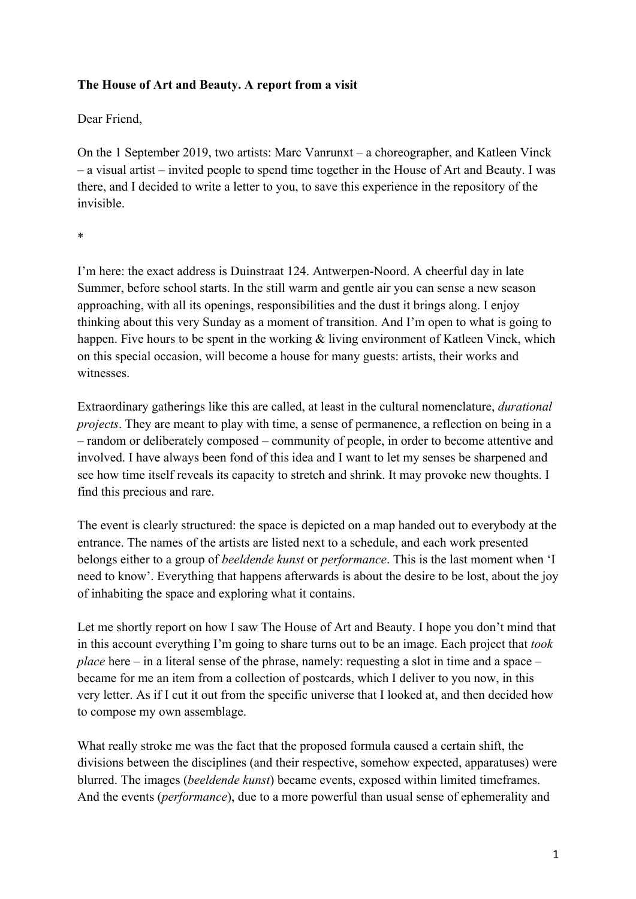## **The House of Art and Beauty. A report from a visit**

Dear Friend,

On the 1 September 2019, two artists: Marc Vanrunxt – a choreographer, and Katleen Vinck – a visual artist – invited people to spend time together in the House of Art and Beauty. I was there, and I decided to write a letter to you, to save this experience in the repository of the invisible.

\*

I'm here: the exact address is Duinstraat 124. Antwerpen-Noord. A cheerful day in late Summer, before school starts. In the still warm and gentle air you can sense a new season approaching, with all its openings, responsibilities and the dust it brings along. I enjoy thinking about this very Sunday as a moment of transition. And I'm open to what is going to happen. Five hours to be spent in the working & living environment of Katleen Vinck, which on this special occasion, will become a house for many guests: artists, their works and witnesses.

Extraordinary gatherings like this are called, at least in the cultural nomenclature, *durational projects*. They are meant to play with time, a sense of permanence, a reflection on being in a – random or deliberately composed – community of people, in order to become attentive and involved. I have always been fond of this idea and I want to let my senses be sharpened and see how time itself reveals its capacity to stretch and shrink. It may provoke new thoughts. I find this precious and rare.

The event is clearly structured: the space is depicted on a map handed out to everybody at the entrance. The names of the artists are listed next to a schedule, and each work presented belongs either to a group of *beeldende kunst* or *performance*. This is the last moment when 'I need to know'. Everything that happens afterwards is about the desire to be lost, about the joy of inhabiting the space and exploring what it contains.

Let me shortly report on how I saw The House of Art and Beauty. I hope you don't mind that in this account everything I'm going to share turns out to be an image. Each project that *took place* here – in a literal sense of the phrase, namely: requesting a slot in time and a space – became for me an item from a collection of postcards, which I deliver to you now, in this very letter. As if I cut it out from the specific universe that I looked at, and then decided how to compose my own assemblage.

What really stroke me was the fact that the proposed formula caused a certain shift, the divisions between the disciplines (and their respective, somehow expected, apparatuses) were blurred. The images (*beeldende kunst*) became events, exposed within limited timeframes. And the events (*performance*), due to a more powerful than usual sense of ephemerality and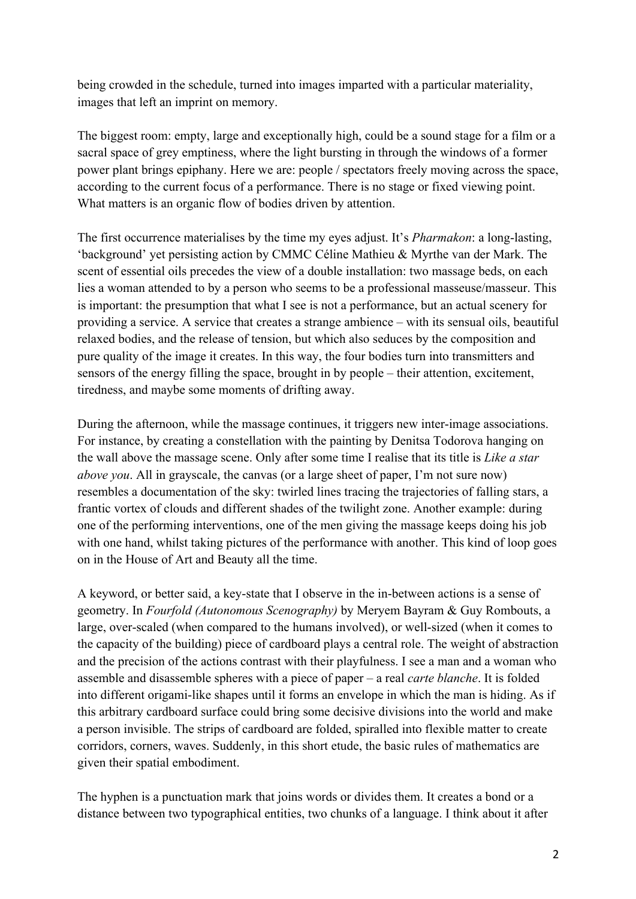being crowded in the schedule, turned into images imparted with a particular materiality, images that left an imprint on memory.

The biggest room: empty, large and exceptionally high, could be a sound stage for a film or a sacral space of grey emptiness, where the light bursting in through the windows of a former power plant brings epiphany. Here we are: people / spectators freely moving across the space, according to the current focus of a performance. There is no stage or fixed viewing point. What matters is an organic flow of bodies driven by attention.

The first occurrence materialises by the time my eyes adjust. It's *Pharmakon*: a long-lasting, 'background' yet persisting action by CMMC Céline Mathieu & Myrthe van der Mark. The scent of essential oils precedes the view of a double installation: two massage beds, on each lies a woman attended to by a person who seems to be a professional masseuse/masseur. This is important: the presumption that what I see is not a performance, but an actual scenery for providing a service. A service that creates a strange ambience – with its sensual oils, beautiful relaxed bodies, and the release of tension, but which also seduces by the composition and pure quality of the image it creates. In this way, the four bodies turn into transmitters and sensors of the energy filling the space, brought in by people – their attention, excitement, tiredness, and maybe some moments of drifting away.

During the afternoon, while the massage continues, it triggers new inter-image associations. For instance, by creating a constellation with the painting by Denitsa Todorova hanging on the wall above the massage scene. Only after some time I realise that its title is *Like a star above you*. All in grayscale, the canvas (or a large sheet of paper, I'm not sure now) resembles a documentation of the sky: twirled lines tracing the trajectories of falling stars, a frantic vortex of clouds and different shades of the twilight zone. Another example: during one of the performing interventions, one of the men giving the massage keeps doing his job with one hand, whilst taking pictures of the performance with another. This kind of loop goes on in the House of Art and Beauty all the time.

A keyword, or better said, a key-state that I observe in the in-between actions is a sense of geometry. In *Fourfold (Autonomous Scenography)* by Meryem Bayram & Guy Rombouts, a large, over-scaled (when compared to the humans involved), or well-sized (when it comes to the capacity of the building) piece of cardboard plays a central role. The weight of abstraction and the precision of the actions contrast with their playfulness. I see a man and a woman who assemble and disassemble spheres with a piece of paper – a real *carte blanche*. It is folded into different origami-like shapes until it forms an envelope in which the man is hiding. As if this arbitrary cardboard surface could bring some decisive divisions into the world and make a person invisible. The strips of cardboard are folded, spiralled into flexible matter to create corridors, corners, waves. Suddenly, in this short etude, the basic rules of mathematics are given their spatial embodiment.

The hyphen is a punctuation mark that joins words or divides them. It creates a bond or a distance between two typographical entities, two chunks of a language. I think about it after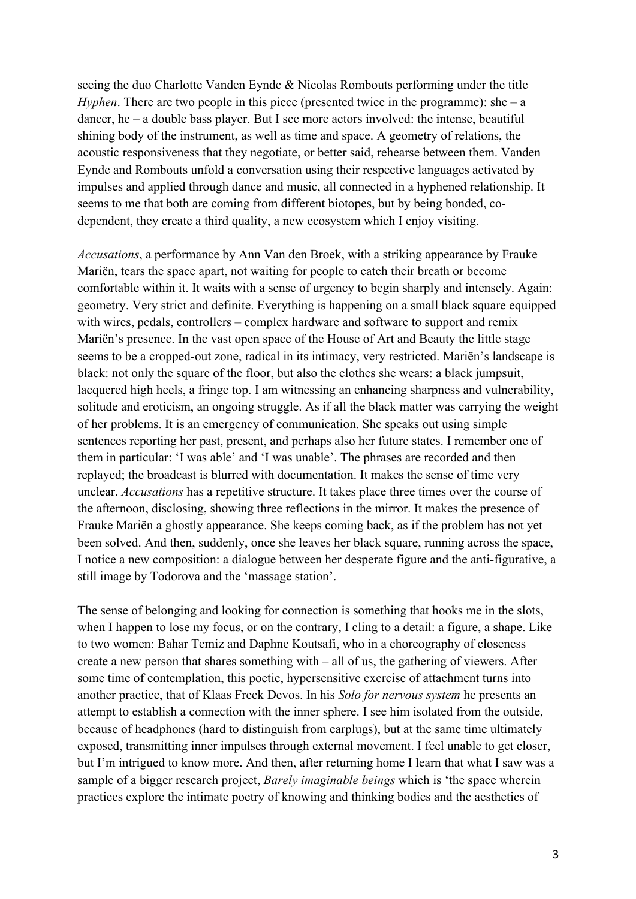seeing the duo Charlotte Vanden Eynde & Nicolas Rombouts performing under the title *Hyphen*. There are two people in this piece (presented twice in the programme): she – a dancer, he – a double bass player. But I see more actors involved: the intense, beautiful shining body of the instrument, as well as time and space. A geometry of relations, the acoustic responsiveness that they negotiate, or better said, rehearse between them. Vanden Eynde and Rombouts unfold a conversation using their respective languages activated by impulses and applied through dance and music, all connected in a hyphened relationship. It seems to me that both are coming from different biotopes, but by being bonded, codependent, they create a third quality, a new ecosystem which I enjoy visiting.

*Accusations*, a performance by Ann Van den Broek, with a striking appearance by Frauke Mariën, tears the space apart, not waiting for people to catch their breath or become comfortable within it. It waits with a sense of urgency to begin sharply and intensely. Again: geometry. Very strict and definite. Everything is happening on a small black square equipped with wires, pedals, controllers – complex hardware and software to support and remix Mariën's presence. In the vast open space of the House of Art and Beauty the little stage seems to be a cropped-out zone, radical in its intimacy, very restricted. Mariën's landscape is black: not only the square of the floor, but also the clothes she wears: a black jumpsuit, lacquered high heels, a fringe top. I am witnessing an enhancing sharpness and vulnerability, solitude and eroticism, an ongoing struggle. As if all the black matter was carrying the weight of her problems. It is an emergency of communication. She speaks out using simple sentences reporting her past, present, and perhaps also her future states. I remember one of them in particular: 'I was able' and 'I was unable'. The phrases are recorded and then replayed; the broadcast is blurred with documentation. It makes the sense of time very unclear. *Accusations* has a repetitive structure. It takes place three times over the course of the afternoon, disclosing, showing three reflections in the mirror. It makes the presence of Frauke Mariën a ghostly appearance. She keeps coming back, as if the problem has not yet been solved. And then, suddenly, once she leaves her black square, running across the space, I notice a new composition: a dialogue between her desperate figure and the anti-figurative, a still image by Todorova and the 'massage station'.

The sense of belonging and looking for connection is something that hooks me in the slots, when I happen to lose my focus, or on the contrary, I cling to a detail: a figure, a shape. Like to two women: Bahar Temiz and Daphne Koutsafi, who in a choreography of closeness create a new person that shares something with – all of us, the gathering of viewers. After some time of contemplation, this poetic, hypersensitive exercise of attachment turns into another practice, that of Klaas Freek Devos. In his *Solo for nervous system* he presents an attempt to establish a connection with the inner sphere. I see him isolated from the outside, because of headphones (hard to distinguish from earplugs), but at the same time ultimately exposed, transmitting inner impulses through external movement. I feel unable to get closer, but I'm intrigued to know more. And then, after returning home I learn that what I saw was a sample of a bigger research project, *Barely imaginable beings* which is 'the space wherein practices explore the intimate poetry of knowing and thinking bodies and the aesthetics of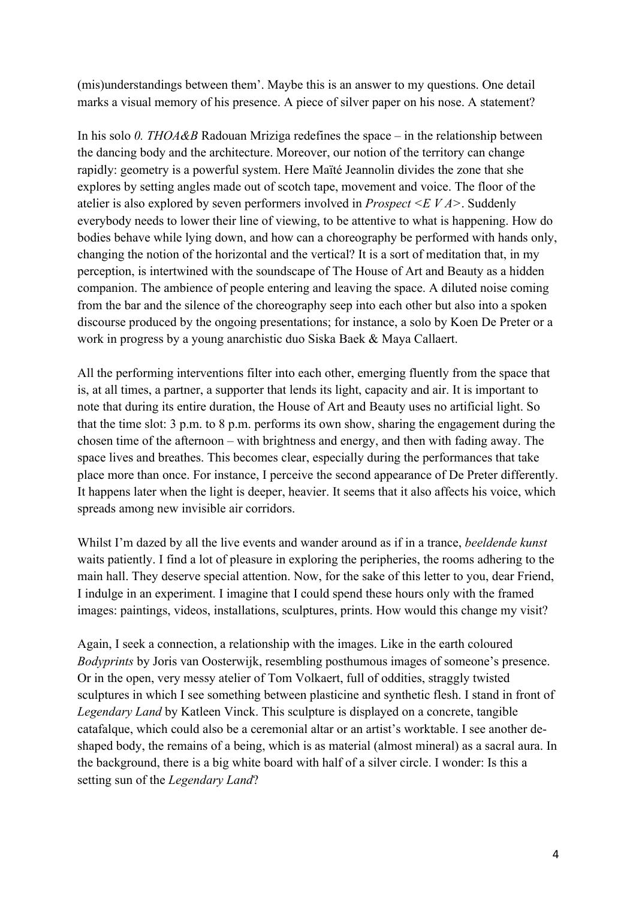(mis)understandings between them'. Maybe this is an answer to my questions. One detail marks a visual memory of his presence. A piece of silver paper on his nose. A statement?

In his solo *0. THOA&B* Radouan Mriziga redefines the space – in the relationship between the dancing body and the architecture. Moreover, our notion of the territory can change rapidly: geometry is a powerful system. Here Maïté Jeannolin divides the zone that she explores by setting angles made out of scotch tape, movement and voice. The floor of the atelier is also explored by seven performers involved in *Prospect <E V A>*. Suddenly everybody needs to lower their line of viewing, to be attentive to what is happening. How do bodies behave while lying down, and how can a choreography be performed with hands only, changing the notion of the horizontal and the vertical? It is a sort of meditation that, in my perception, is intertwined with the soundscape of The House of Art and Beauty as a hidden companion. The ambience of people entering and leaving the space. A diluted noise coming from the bar and the silence of the choreography seep into each other but also into a spoken discourse produced by the ongoing presentations; for instance, a solo by Koen De Preter or a work in progress by a young anarchistic duo Siska Baek & Maya Callaert.

All the performing interventions filter into each other, emerging fluently from the space that is, at all times, a partner, a supporter that lends its light, capacity and air. It is important to note that during its entire duration, the House of Art and Beauty uses no artificial light. So that the time slot: 3 p.m. to 8 p.m. performs its own show, sharing the engagement during the chosen time of the afternoon – with brightness and energy, and then with fading away. The space lives and breathes. This becomes clear, especially during the performances that take place more than once. For instance, I perceive the second appearance of De Preter differently. It happens later when the light is deeper, heavier. It seems that it also affects his voice, which spreads among new invisible air corridors.

Whilst I'm dazed by all the live events and wander around as if in a trance, *beeldende kunst* waits patiently. I find a lot of pleasure in exploring the peripheries, the rooms adhering to the main hall. They deserve special attention. Now, for the sake of this letter to you, dear Friend, I indulge in an experiment. I imagine that I could spend these hours only with the framed images: paintings, videos, installations, sculptures, prints. How would this change my visit?

Again, I seek a connection, a relationship with the images. Like in the earth coloured *Bodyprints* by Joris van Oosterwijk, resembling posthumous images of someone's presence. Or in the open, very messy atelier of Tom Volkaert, full of oddities, straggly twisted sculptures in which I see something between plasticine and synthetic flesh. I stand in front of *Legendary Land* by Katleen Vinck. This sculpture is displayed on a concrete, tangible catafalque, which could also be a ceremonial altar or an artist's worktable. I see another deshaped body, the remains of a being, which is as material (almost mineral) as a sacral aura. In the background, there is a big white board with half of a silver circle. I wonder: Is this a setting sun of the *Legendary Land*?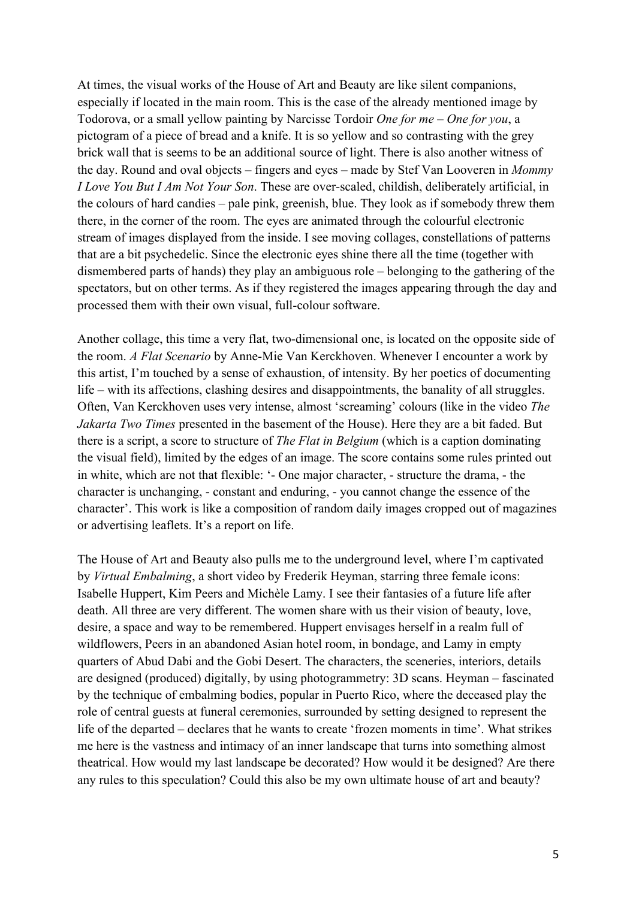At times, the visual works of the House of Art and Beauty are like silent companions, especially if located in the main room. This is the case of the already mentioned image by Todorova, or a small yellow painting by Narcisse Tordoir *One for me – One for you*, a pictogram of a piece of bread and a knife. It is so yellow and so contrasting with the grey brick wall that is seems to be an additional source of light. There is also another witness of the day. Round and oval objects – fingers and eyes – made by Stef Van Looveren in *Mommy I Love You But I Am Not Your Son*. These are over-scaled, childish, deliberately artificial, in the colours of hard candies – pale pink, greenish, blue. They look as if somebody threw them there, in the corner of the room. The eyes are animated through the colourful electronic stream of images displayed from the inside. I see moving collages, constellations of patterns that are a bit psychedelic. Since the electronic eyes shine there all the time (together with dismembered parts of hands) they play an ambiguous role – belonging to the gathering of the spectators, but on other terms. As if they registered the images appearing through the day and processed them with their own visual, full-colour software.

Another collage, this time a very flat, two-dimensional one, is located on the opposite side of the room. *A Flat Scenario* by Anne-Mie Van Kerckhoven. Whenever I encounter a work by this artist, I'm touched by a sense of exhaustion, of intensity. By her poetics of documenting life – with its affections, clashing desires and disappointments, the banality of all struggles. Often, Van Kerckhoven uses very intense, almost 'screaming' colours (like in the video *The Jakarta Two Times* presented in the basement of the House). Here they are a bit faded. But there is a script, a score to structure of *The Flat in Belgium* (which is a caption dominating the visual field), limited by the edges of an image. The score contains some rules printed out in white, which are not that flexible: '- One major character, - structure the drama, - the character is unchanging, - constant and enduring, - you cannot change the essence of the character'. This work is like a composition of random daily images cropped out of magazines or advertising leaflets. It's a report on life.

The House of Art and Beauty also pulls me to the underground level, where I'm captivated by *Virtual Embalming*, a short video by Frederik Heyman, starring three female icons: Isabelle Huppert, Kim Peers and Michèle Lamy. I see their fantasies of a future life after death. All three are very different. The women share with us their vision of beauty, love, desire, a space and way to be remembered. Huppert envisages herself in a realm full of wildflowers, Peers in an abandoned Asian hotel room, in bondage, and Lamy in empty quarters of Abud Dabi and the Gobi Desert. The characters, the sceneries, interiors, details are designed (produced) digitally, by using photogrammetry: 3D scans. Heyman – fascinated by the technique of embalming bodies, popular in Puerto Rico, where the deceased play the role of central guests at funeral ceremonies, surrounded by setting designed to represent the life of the departed – declares that he wants to create 'frozen moments in time'. What strikes me here is the vastness and intimacy of an inner landscape that turns into something almost theatrical. How would my last landscape be decorated? How would it be designed? Are there any rules to this speculation? Could this also be my own ultimate house of art and beauty?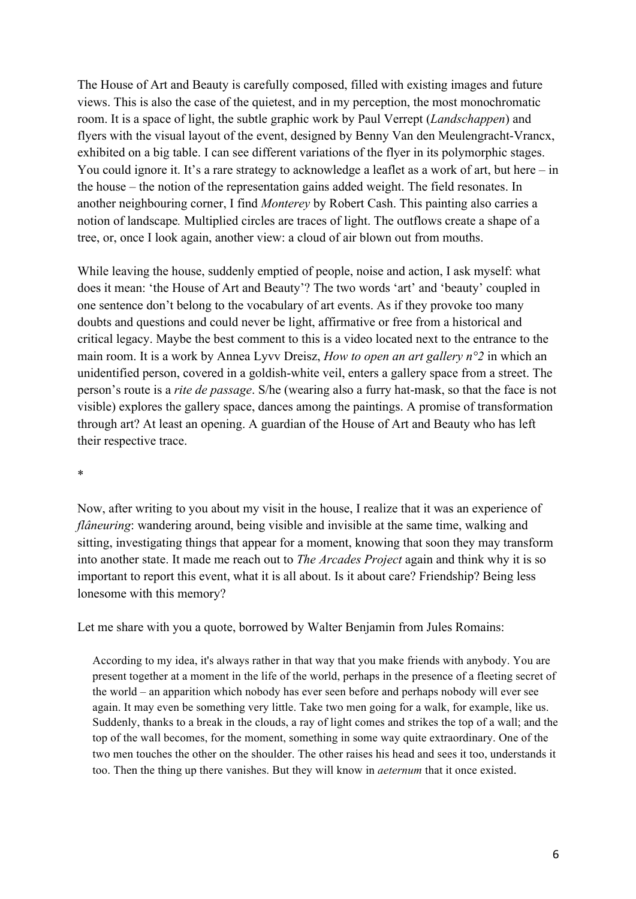The House of Art and Beauty is carefully composed, filled with existing images and future views. This is also the case of the quietest, and in my perception, the most monochromatic room. It is a space of light, the subtle graphic work by Paul Verrept (*Landschappen*) and flyers with the visual layout of the event, designed by Benny Van den Meulengracht-Vrancx, exhibited on a big table. I can see different variations of the flyer in its polymorphic stages. You could ignore it. It's a rare strategy to acknowledge a leaflet as a work of art, but here – in the house – the notion of the representation gains added weight. The field resonates. In another neighbouring corner, I find *Monterey* by Robert Cash. This painting also carries a notion of landscape*.* Multiplied circles are traces of light. The outflows create a shape of a tree, or, once I look again, another view: a cloud of air blown out from mouths.

While leaving the house, suddenly emptied of people, noise and action, I ask myself: what does it mean: 'the House of Art and Beauty'? The two words 'art' and 'beauty' coupled in one sentence don't belong to the vocabulary of art events. As if they provoke too many doubts and questions and could never be light, affirmative or free from a historical and critical legacy. Maybe the best comment to this is a video located next to the entrance to the main room. It is a work by Annea Lyvv Dreisz, *How to open an art gallery n°2* in which an unidentified person, covered in a goldish-white veil, enters a gallery space from a street. The person's route is a *rite de passage*. S/he (wearing also a furry hat-mask, so that the face is not visible) explores the gallery space, dances among the paintings. A promise of transformation through art? At least an opening. A guardian of the House of Art and Beauty who has left their respective trace.

\*

Now, after writing to you about my visit in the house, I realize that it was an experience of *flâneuring*: wandering around, being visible and invisible at the same time, walking and sitting, investigating things that appear for a moment, knowing that soon they may transform into another state. It made me reach out to *The Arcades Project* again and think why it is so important to report this event, what it is all about. Is it about care? Friendship? Being less lonesome with this memory?

Let me share with you a quote, borrowed by Walter Benjamin from Jules Romains:

According to my idea, it's always rather in that way that you make friends with anybody. You are present together at a moment in the life of the world, perhaps in the presence of a fleeting secret of the world – an apparition which nobody has ever seen before and perhaps nobody will ever see again. It may even be something very little. Take two men going for a walk, for example, like us. Suddenly, thanks to a break in the clouds, a ray of light comes and strikes the top of a wall; and the top of the wall becomes, for the moment, something in some way quite extraordinary. One of the two men touches the other on the shoulder. The other raises his head and sees it too, understands it too. Then the thing up there vanishes. But they will know in *aeternum* that it once existed.